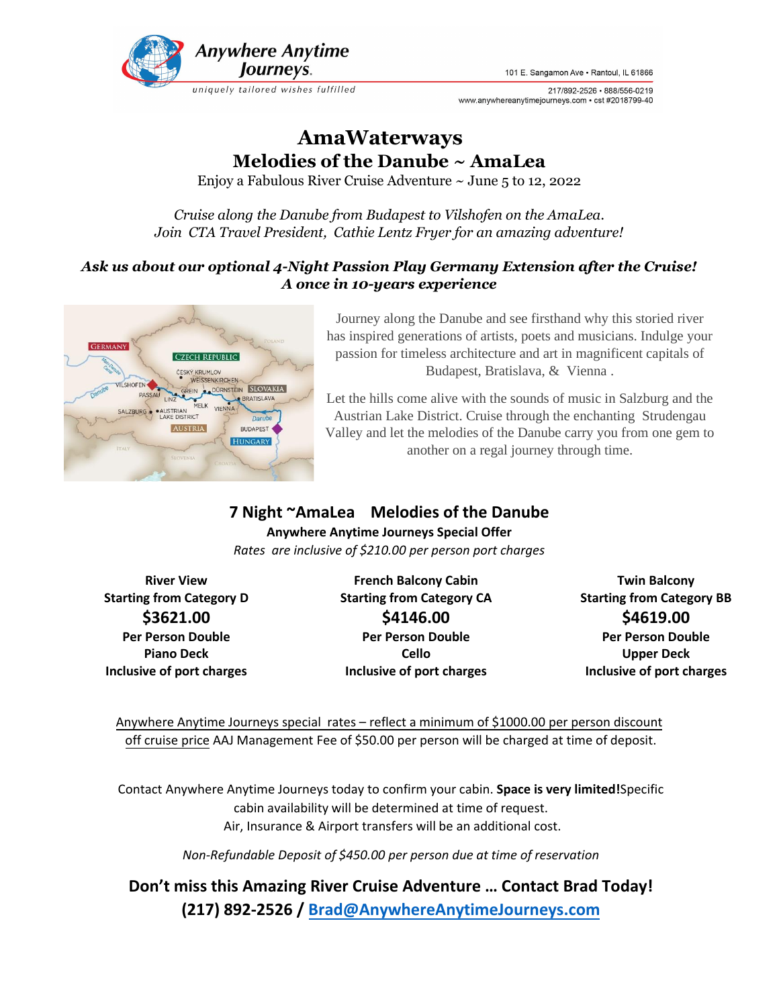

101 E. Sangamon Ave · Rantoul, IL 61866

217/892-2526 • 888/556-0219 www.anywhereanytimejourneys.com • cst #2018799-40

# **AmaWaterways Melodies of the Danube ~ AmaLea**

Enjoy a Fabulous River Cruise Adventure  $\sim$  June 5 to 12, 2022

*Cruise along the Danube from Budapest to Vilshofen on the AmaLea. Join CTA Travel President, Cathie Lentz Fryer for an amazing adventure!*

## *Ask us about our optional 4-Night Passion Play Germany Extension after the Cruise! A once in 10-years experience*



Journey along the Danube and see firsthand why this storied river has inspired generations of artists, poets and musicians. Indulge your passion for timeless architecture and art in magnificent capitals of Budapest, Bratislava, & Vienna .

Let the hills come alive with the sounds of music in Salzburg and the Austrian Lake District. Cruise through the enchanting Strudengau Valley and let the melodies of the Danube carry you from one gem to another on a regal journey through time.

# **7 Night ~AmaLea Melodies of the Danube**

**Anywhere Anytime Journeys Special Offer** *Rates are inclusive of \$210.00 per person port charges*

**\$3621.00 Per Person Double Piano Deck Inclusive of port charges**

**River View**  French Balcony Cabin **French Balcony Cabin** Twin Balcony **\$4146.00 Per Person Double Cello Inclusive of port charges**

**Starting from Category D Starting from Category CA Starting from Category BB \$4619.00 Per Person Double Upper Deck Inclusive of port charges**

Anywhere Anytime Journeys special rates – reflect a minimum of \$1000.00 per person discount off cruise price AAJ Management Fee of \$50.00 per person will be charged at time of deposit.

Contact Anywhere Anytime Journeys today to confirm your cabin. **Space is very limited!**Specific cabin availability will be determined at time of request. Air, Insurance & Airport transfers will be an additional cost.

*Non-Refundable Deposit of \$450.00 per person due at time of reservation* 

**Don't miss this Amazing River Cruise Adventure … Contact Brad Today! (217) 892-2526 / Brad@AnywhereAnytimeJourneys.com**